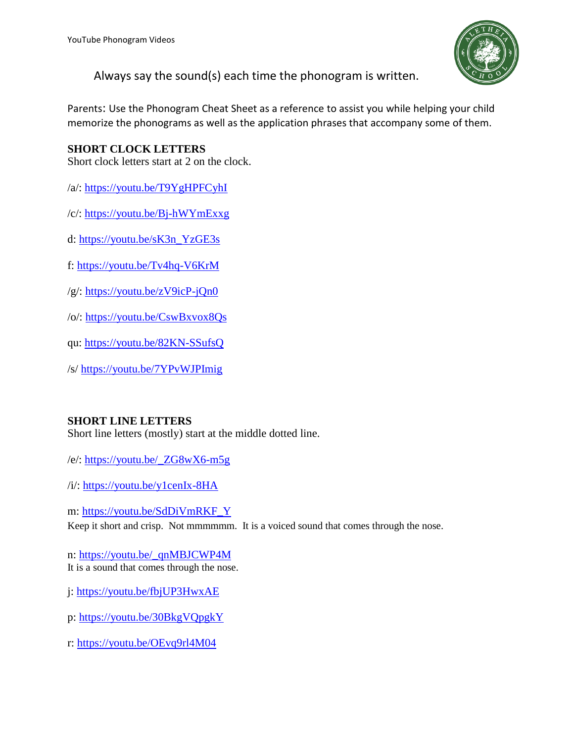

Always say the sound(s) each time the phonogram is written.

Parents: Use the Phonogram Cheat Sheet as a reference to assist you while helping your child memorize the phonograms as well as the application phrases that accompany some of them.

## **SHORT CLOCK LETTERS**

Short clock letters start at 2 on the clock.

/a/:<https://youtu.be/T9YgHPFCyhI>

/c/:<https://youtu.be/Bj-hWYmExxg>

d: [https://youtu.be/sK3n\\_YzGE3s](https://youtu.be/sK3n_YzGE3s)

f:<https://youtu.be/Tv4hq-V6KrM>

/g/:<https://youtu.be/zV9icP-jQn0>

/o/:<https://youtu.be/CswBxvox8Qs>

qu: <https://youtu.be/82KN-SSufsQ>

/s/<https://youtu.be/7YPvWJPImig>

## **SHORT LINE LETTERS**

Short line letters (mostly) start at the middle dotted line.

/e/: [https://youtu.be/\\_ZG8wX6-m5g](https://youtu.be/_ZG8wX6-m5g)

/i/: <https://youtu.be/y1cenIx-8HA>

m: [https://youtu.be/SdDiVmRKF\\_Y](https://youtu.be/SdDiVmRKF_Y)

Keep it short and crisp. Not mmmmmm. It is a voiced sound that comes through the nose.

n: [https://youtu.be/\\_qnMBJCWP4M](https://youtu.be/_qnMBJCWP4M) It is a sound that comes through the nose.

j:<https://youtu.be/fbjUP3HwxAE>

p:<https://youtu.be/30BkgVQpgkY>

r: <https://youtu.be/OEvq9rl4M04>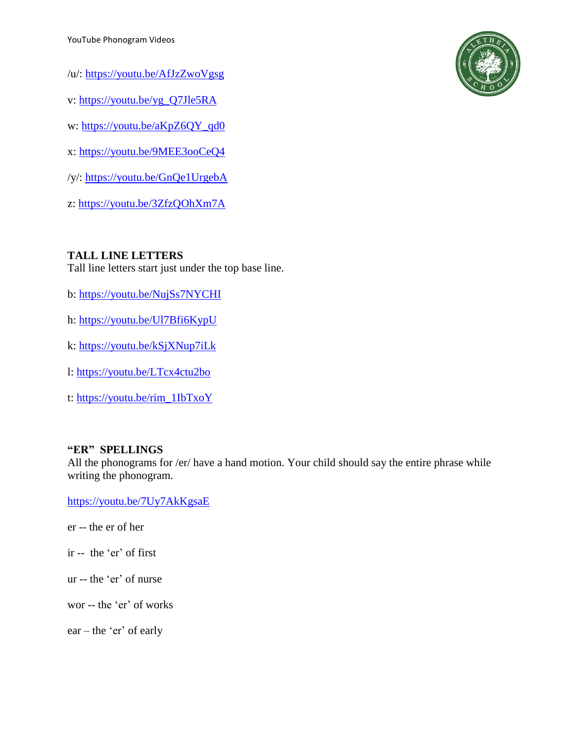- /u/: <https://youtu.be/AfJzZwoVgsg>
- v: [https://youtu.be/yg\\_Q7Jle5RA](https://youtu.be/yg_Q7Jle5RA)
- w: [https://youtu.be/aKpZ6QY\\_qd0](https://youtu.be/aKpZ6QY_qd0)
- x: <https://youtu.be/9MEE3ooCeQ4>
- /y/: <https://youtu.be/GnQe1UrgebA>
- z: <https://youtu.be/3ZfzQOhXm7A>

#### **TALL LINE LETTERS**

Tall line letters start just under the top base line.

- b: <https://youtu.be/NujSs7NYCHI>
- h: <https://youtu.be/Ul7Bfi6KypU>
- k:<https://youtu.be/kSjXNup7iLk>
- l: <https://youtu.be/LTcx4ctu2bo>
- t: [https://youtu.be/rim\\_1IbTxoY](https://youtu.be/rim_1IbTxoY)

#### **"ER" SPELLINGS**

All the phonograms for /er/ have a hand motion. Your child should say the entire phrase while writing the phonogram.

<https://youtu.be/7Uy7AkKgsaE>

- er -- the er of her
- ir -- the 'er' of first
- ur -- the 'er' of nurse
- wor -- the 'er' of works

 $ear$  – the 'er' of early

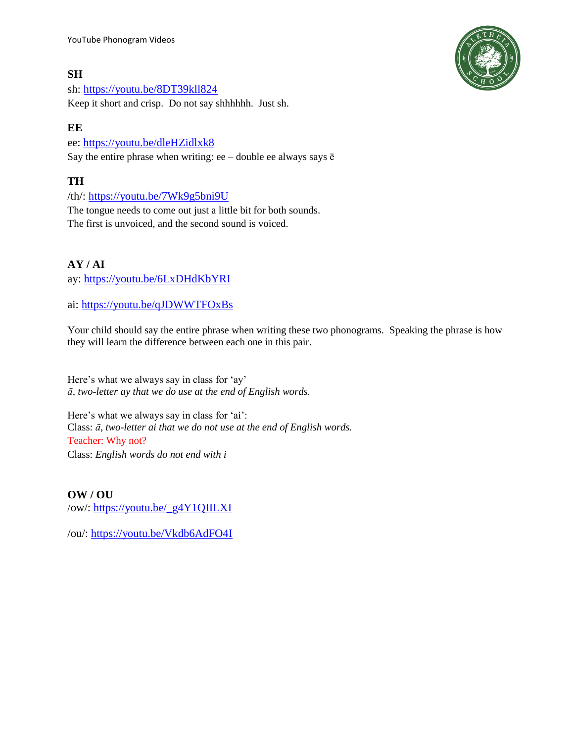YouTube Phonogram Videos

#### **SH**

sh:<https://youtu.be/8DT39kll824> Keep it short and crisp. Do not say shhhhhh. Just sh.

#### **EE**

ee:<https://youtu.be/dleHZidlxk8> Say the entire phrase when writing: ee – double ee always says  $\bar{e}$ 

## **TH**

/th/:<https://youtu.be/7Wk9g5bni9U>

The tongue needs to come out just a little bit for both sounds. The first is unvoiced, and the second sound is voiced.

#### **AY / AI**

ay:<https://youtu.be/6LxDHdKbYRI>

ai: <https://youtu.be/qJDWWTFOxBs>

Your child should say the entire phrase when writing these two phonograms. Speaking the phrase is how they will learn the difference between each one in this pair.

Here's what we always say in class for 'ay' *ā, two-letter ay that we do use at the end of English words.*

Here's what we always say in class for 'ai': Class: *ā, two-letter ai that we do not use at the end of English words.* Teacher: Why not? Class: *English words do not end with i*

**OW / OU** /ow/: [https://youtu.be/\\_g4Y1QIILXI](https://youtu.be/_g4Y1QIILXI)

/ou/: <https://youtu.be/Vkdb6AdFO4I>

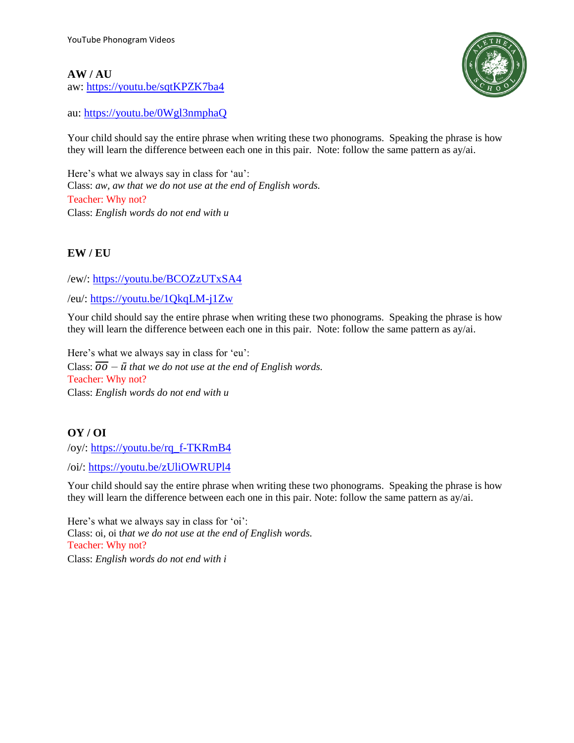#### **AW / AU**

aw: <https://youtu.be/sqtKPZK7ba4>



au: <https://youtu.be/0Wgl3nmphaQ>

Your child should say the entire phrase when writing these two phonograms. Speaking the phrase is how they will learn the difference between each one in this pair. Note: follow the same pattern as ay/ai.

Here's what we always say in class for 'au': Class: *aw, aw that we do not use at the end of English words.* Teacher: Why not? Class: *English words do not end with u*

#### **EW / EU**

/ew/: <https://youtu.be/BCOZzUTxSA4>

/eu/: <https://youtu.be/1QkqLM-j1Zw>

Your child should say the entire phrase when writing these two phonograms. Speaking the phrase is how they will learn the difference between each one in this pair. Note: follow the same pattern as ay/ai.

Here's what we always say in class for 'eu': Class:  $\overline{OO} - \overline{u}$  *that we do not use at the end of English words.* Teacher: Why not? Class: *English words do not end with u*

#### **OY / OI**

/oy/: [https://youtu.be/rq\\_f-TKRmB4](https://youtu.be/rq_f-TKRmB4)

/oi/:<https://youtu.be/zUliOWRUPl4>

Your child should say the entire phrase when writing these two phonograms. Speaking the phrase is how they will learn the difference between each one in this pair. Note: follow the same pattern as ay/ai.

Here's what we always say in class for 'oi': Class: oi, oi t*hat we do not use at the end of English words.* Teacher: Why not? Class: *English words do not end with i*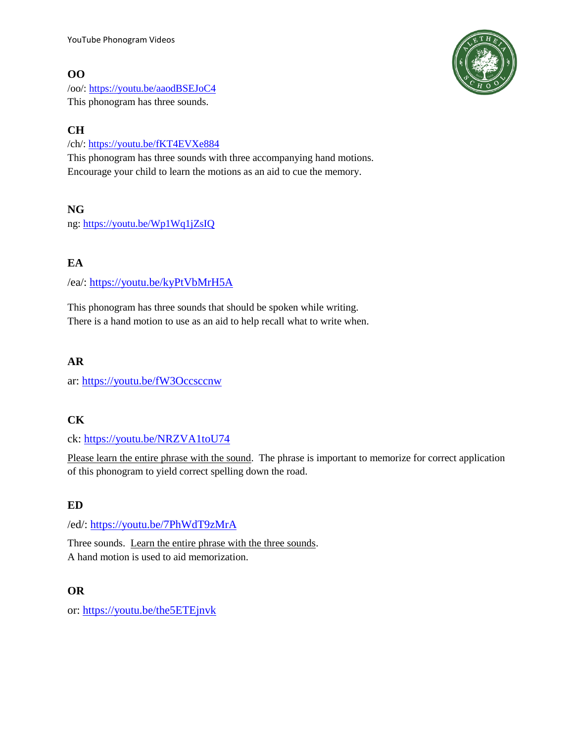## **OO**

/oo/:<https://youtu.be/aaodBSEJoC4> This phonogram has three sounds.

# **CH**

/ch/:<https://youtu.be/fKT4EVXe884>

This phonogram has three sounds with three accompanying hand motions. Encourage your child to learn the motions as an aid to cue the memory.

## **NG**

ng:<https://youtu.be/Wp1Wq1jZsIQ>

# **EA**

/ea/:<https://youtu.be/kyPtVbMrH5A>

This phonogram has three sounds that should be spoken while writing. There is a hand motion to use as an aid to help recall what to write when.

## **AR**

ar: <https://youtu.be/fW3Occsccnw>

## **CK**

ck: <https://youtu.be/NRZVA1toU74>

Please learn the entire phrase with the sound. The phrase is important to memorize for correct application of this phonogram to yield correct spelling down the road.

## **ED**

/ed/: <https://youtu.be/7PhWdT9zMrA>

Three sounds. Learn the entire phrase with the three sounds. A hand motion is used to aid memorization.

## **OR**

or: <https://youtu.be/the5ETEjnvk>

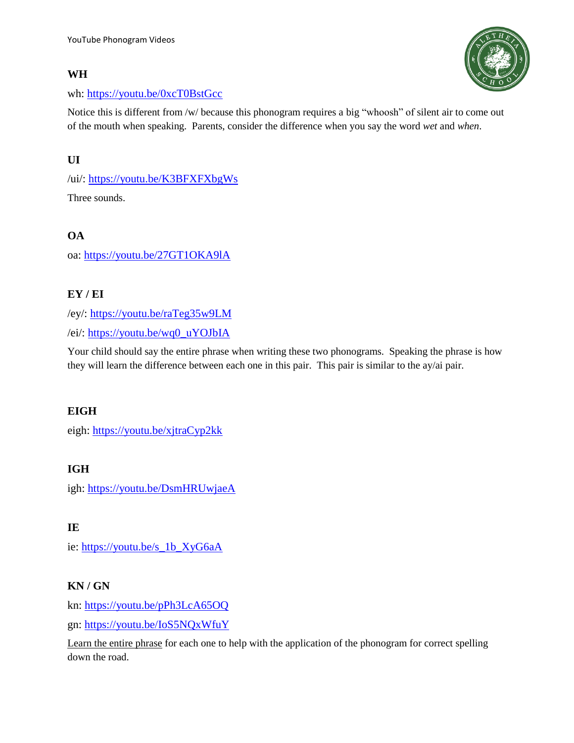#### **WH**



#### wh: <https://youtu.be/0xcT0BstGcc>

Notice this is different from /w/ because this phonogram requires a big "whoosh" of silent air to come out of the mouth when speaking. Parents, consider the difference when you say the word *wet* and *when*.

## **UI**

/ui/: <https://youtu.be/K3BFXFXbgWs>

Three sounds.

## **OA**

oa: <https://youtu.be/27GT1OKA9lA>

# **EY / EI**

/ey/: <https://youtu.be/raTeg35w9LM>

/ei/: [https://youtu.be/wq0\\_uYOJbIA](https://youtu.be/wq0_uYOJbIA)

Your child should say the entire phrase when writing these two phonograms. Speaking the phrase is how they will learn the difference between each one in this pair. This pair is similar to the ay/ai pair.

## **EIGH**

eigh: <https://youtu.be/xjtraCyp2kk>

## **IGH**

igh: <https://youtu.be/DsmHRUwjaeA>

**IE**

ie: [https://youtu.be/s\\_1b\\_XyG6aA](https://youtu.be/s_1b_XyG6aA)

## **KN / GN**

kn: <https://youtu.be/pPh3LcA65OQ>

gn: <https://youtu.be/IoS5NQxWfuY>

Learn the entire phrase for each one to help with the application of the phonogram for correct spelling down the road.